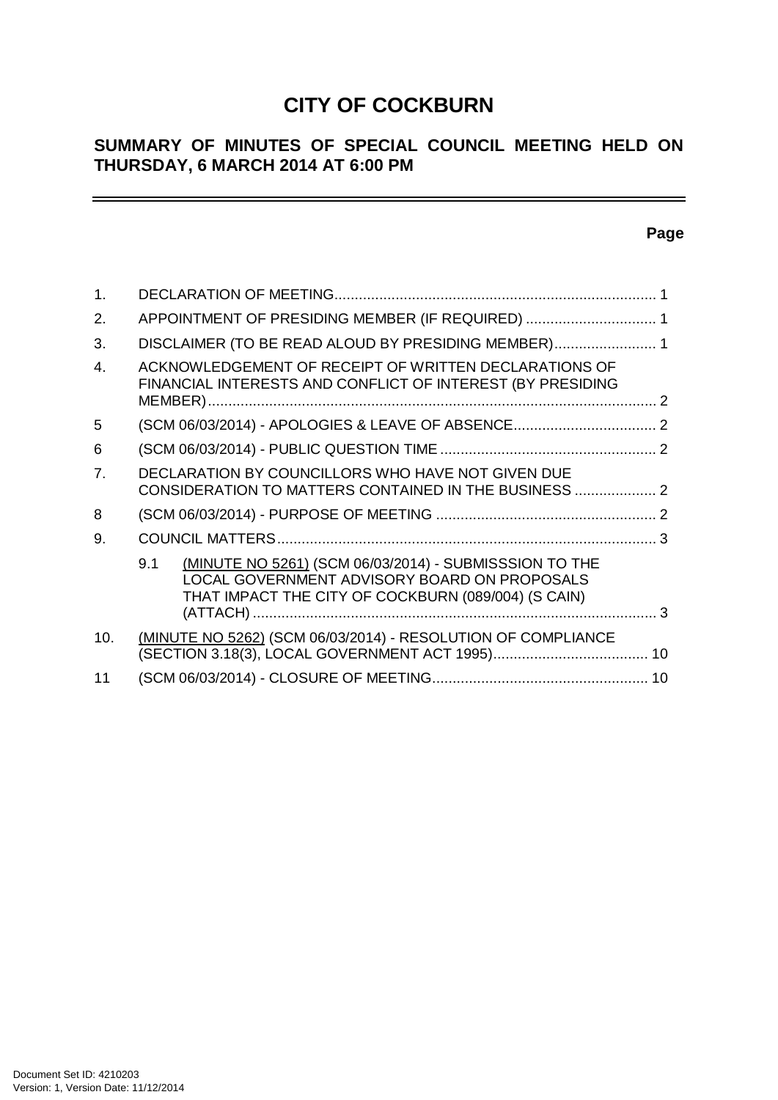# **CITY OF COCKBURN**

# **SUMMARY OF MINUTES OF SPECIAL COUNCIL MEETING HELD ON THURSDAY, 6 MARCH 2014 AT 6:00 PM**

# **Page**

| 1.             |                                                                                                                                                                      |  |
|----------------|----------------------------------------------------------------------------------------------------------------------------------------------------------------------|--|
| 2.             | APPOINTMENT OF PRESIDING MEMBER (IF REQUIRED)  1                                                                                                                     |  |
| 3.             | DISCLAIMER (TO BE READ ALOUD BY PRESIDING MEMBER) 1                                                                                                                  |  |
| $\overline{4}$ | ACKNOWLEDGEMENT OF RECEIPT OF WRITTEN DECLARATIONS OF<br>FINANCIAL INTERESTS AND CONFLICT OF INTEREST (BY PRESIDING                                                  |  |
| 5              |                                                                                                                                                                      |  |
| 6              |                                                                                                                                                                      |  |
| 7.             | DECLARATION BY COUNCILLORS WHO HAVE NOT GIVEN DUE<br>CONSIDERATION TO MATTERS CONTAINED IN THE BUSINESS  2                                                           |  |
| 8              |                                                                                                                                                                      |  |
| 9.             |                                                                                                                                                                      |  |
|                | (MINUTE NO 5261) (SCM 06/03/2014) - SUBMISSSION TO THE<br>9.1<br>LOCAL GOVERNMENT ADVISORY BOARD ON PROPOSALS<br>THAT IMPACT THE CITY OF COCKBURN (089/004) (S CAIN) |  |
| 10.            | (MINUTE NO 5262) (SCM 06/03/2014) - RESOLUTION OF COMPLIANCE                                                                                                         |  |
| 11             |                                                                                                                                                                      |  |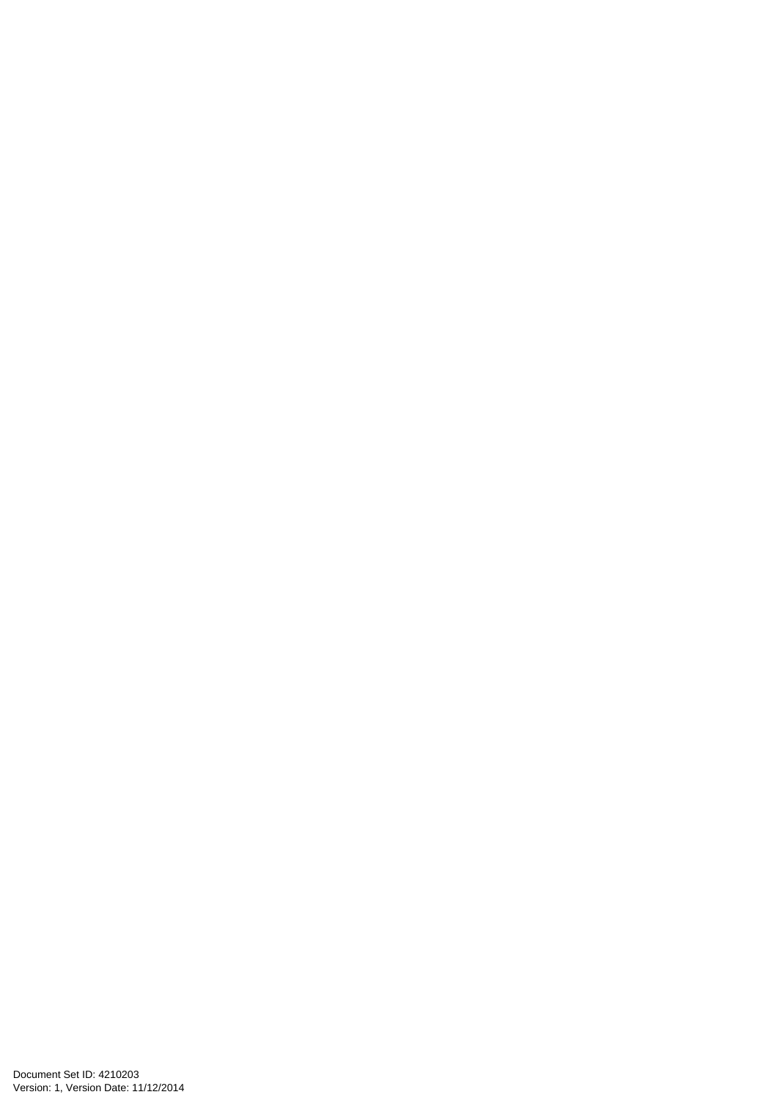Document Set ID: 4210203<br>Version: 1, Version Date: 11/12/2014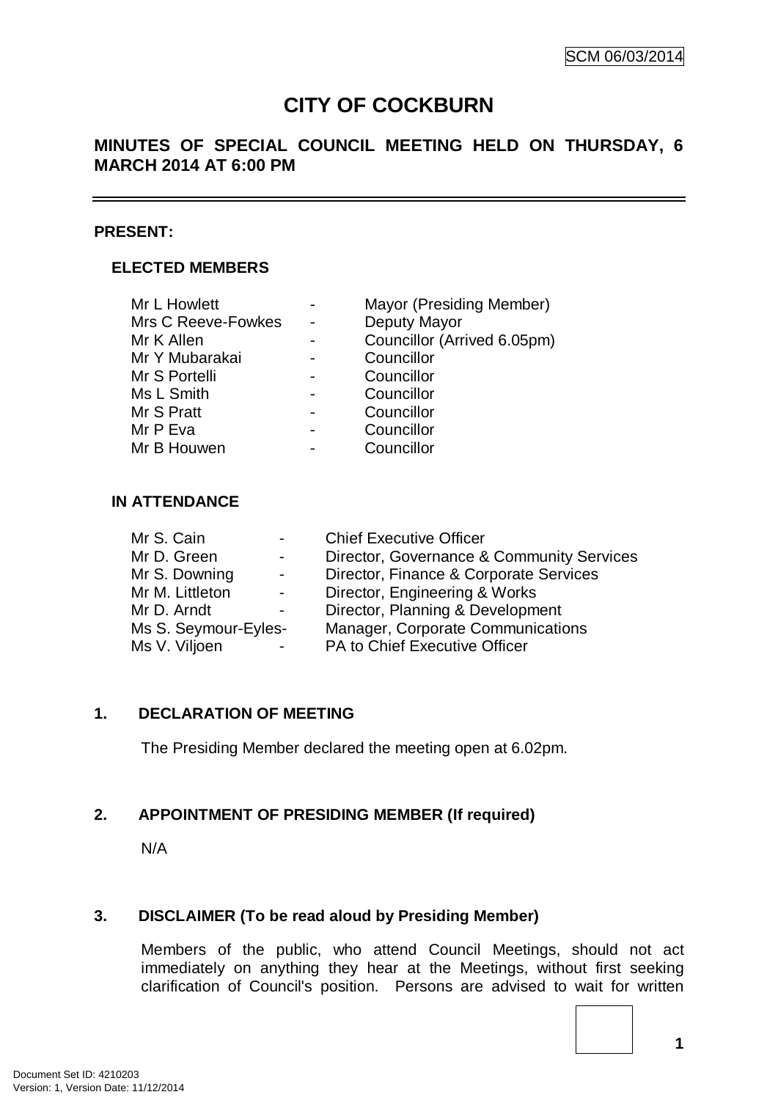# **CITY OF COCKBURN**

# **MINUTES OF SPECIAL COUNCIL MEETING HELD ON THURSDAY, 6 MARCH 2014 AT 6:00 PM**

#### **PRESENT:**

#### **ELECTED MEMBERS**

| Mr L Howlett       | Mayor (Presiding Member)    |
|--------------------|-----------------------------|
| Mrs C Reeve-Fowkes | Deputy Mayor                |
| Mr K Allen         | Councillor (Arrived 6.05pm) |
| Mr Y Mubarakai     | Councillor                  |
| Mr S Portelli      | Councillor                  |
| Ms L Smith         | Councillor                  |
| Mr S Pratt         | Councillor                  |
| Mr P Eva           | Councillor                  |
| Mr B Houwen        | Councillor                  |

#### **IN ATTENDANCE**

| Mr S. Cain<br>$\blacksquare$              | <b>Chief Executive Officer</b>            |
|-------------------------------------------|-------------------------------------------|
| Mr D. Green<br>$\blacksquare$             | Director, Governance & Community Services |
| Mr S. Downing<br>$\blacksquare$           | Director, Finance & Corporate Services    |
| Mr M. Littleton<br>$\blacksquare$         | Director, Engineering & Works             |
| Mr D. Arndt<br>$\blacksquare$             | Director, Planning & Development          |
| Ms S. Seymour-Eyles-                      | Manager, Corporate Communications         |
| Ms V. Viljoen<br>$\overline{\phantom{0}}$ | PA to Chief Executive Officer             |

#### **1. DECLARATION OF MEETING**

The Presiding Member declared the meeting open at 6.02pm.

#### **2. APPOINTMENT OF PRESIDING MEMBER (If required)**

N/A

#### **3. DISCLAIMER (To be read aloud by Presiding Member)**

Members of the public, who attend Council Meetings, should not act immediately on anything they hear at the Meetings, without first seeking clarification of Council's position. Persons are advised to wait for written

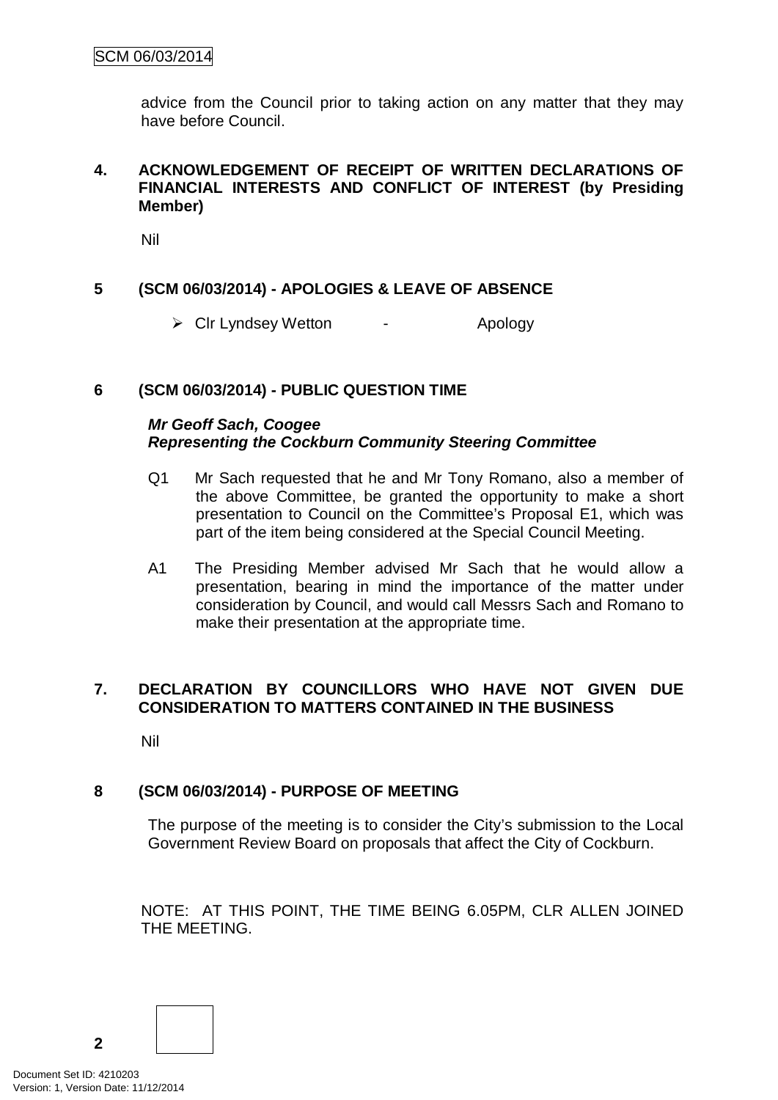advice from the Council prior to taking action on any matter that they may have before Council.

#### **4. ACKNOWLEDGEMENT OF RECEIPT OF WRITTEN DECLARATIONS OF FINANCIAL INTERESTS AND CONFLICT OF INTEREST (by Presiding Member)**

Nil

## **5 (SCM 06/03/2014) - APOLOGIES & LEAVE OF ABSENCE**

> Cir Lyndsey Wetton - Apology

#### **6 (SCM 06/03/2014) - PUBLIC QUESTION TIME**

#### *Mr Geoff Sach, Coogee Representing the Cockburn Community Steering Committee*

- Q1 Mr Sach requested that he and Mr Tony Romano, also a member of the above Committee, be granted the opportunity to make a short presentation to Council on the Committee's Proposal E1, which was part of the item being considered at the Special Council Meeting.
- A1 The Presiding Member advised Mr Sach that he would allow a presentation, bearing in mind the importance of the matter under consideration by Council, and would call Messrs Sach and Romano to make their presentation at the appropriate time.

#### **7. DECLARATION BY COUNCILLORS WHO HAVE NOT GIVEN DUE CONSIDERATION TO MATTERS CONTAINED IN THE BUSINESS**

Nil

#### **8 (SCM 06/03/2014) - PURPOSE OF MEETING**

The purpose of the meeting is to consider the City's submission to the Local Government Review Board on proposals that affect the City of Cockburn.

NOTE: AT THIS POINT, THE TIME BEING 6.05PM, CLR ALLEN JOINED THE MEETING.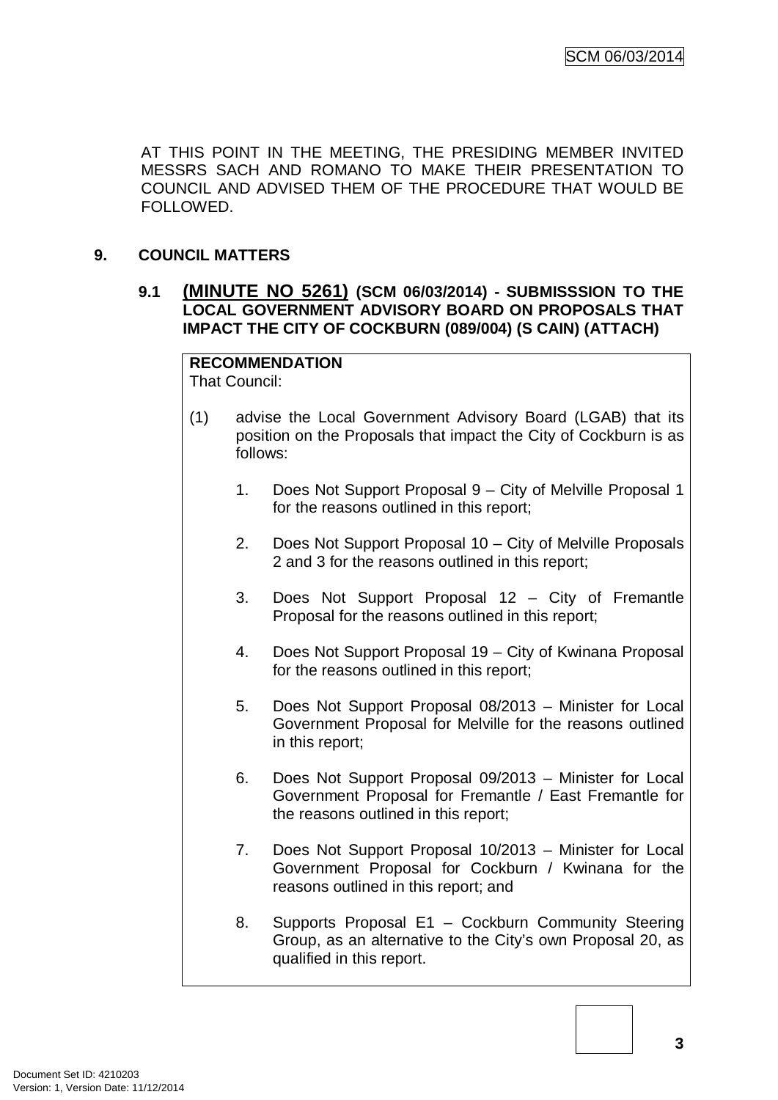AT THIS POINT IN THE MEETING, THE PRESIDING MEMBER INVITED MESSRS SACH AND ROMANO TO MAKE THEIR PRESENTATION TO COUNCIL AND ADVISED THEM OF THE PROCEDURE THAT WOULD BE FOLLOWED.

#### **9. COUNCIL MATTERS**

**9.1 (MINUTE NO 5261) (SCM 06/03/2014) - SUBMISSSION TO THE LOCAL GOVERNMENT ADVISORY BOARD ON PROPOSALS THAT IMPACT THE CITY OF COCKBURN (089/004) (S CAIN) (ATTACH)**

#### **RECOMMENDATION**

That Council:

- (1) advise the Local Government Advisory Board (LGAB) that its position on the Proposals that impact the City of Cockburn is as follows:
	- 1. Does Not Support Proposal 9 City of Melville Proposal 1 for the reasons outlined in this report;
	- 2. Does Not Support Proposal 10 City of Melville Proposals 2 and 3 for the reasons outlined in this report;
	- 3. Does Not Support Proposal 12 City of Fremantle Proposal for the reasons outlined in this report;
	- 4. Does Not Support Proposal 19 City of Kwinana Proposal for the reasons outlined in this report;
	- 5. Does Not Support Proposal 08/2013 Minister for Local Government Proposal for Melville for the reasons outlined in this report;
	- 6. Does Not Support Proposal 09/2013 Minister for Local Government Proposal for Fremantle / East Fremantle for the reasons outlined in this report;
	- 7. Does Not Support Proposal 10/2013 Minister for Local Government Proposal for Cockburn / Kwinana for the reasons outlined in this report; and
	- 8. Supports Proposal E1 Cockburn Community Steering Group, as an alternative to the City's own Proposal 20, as qualified in this report.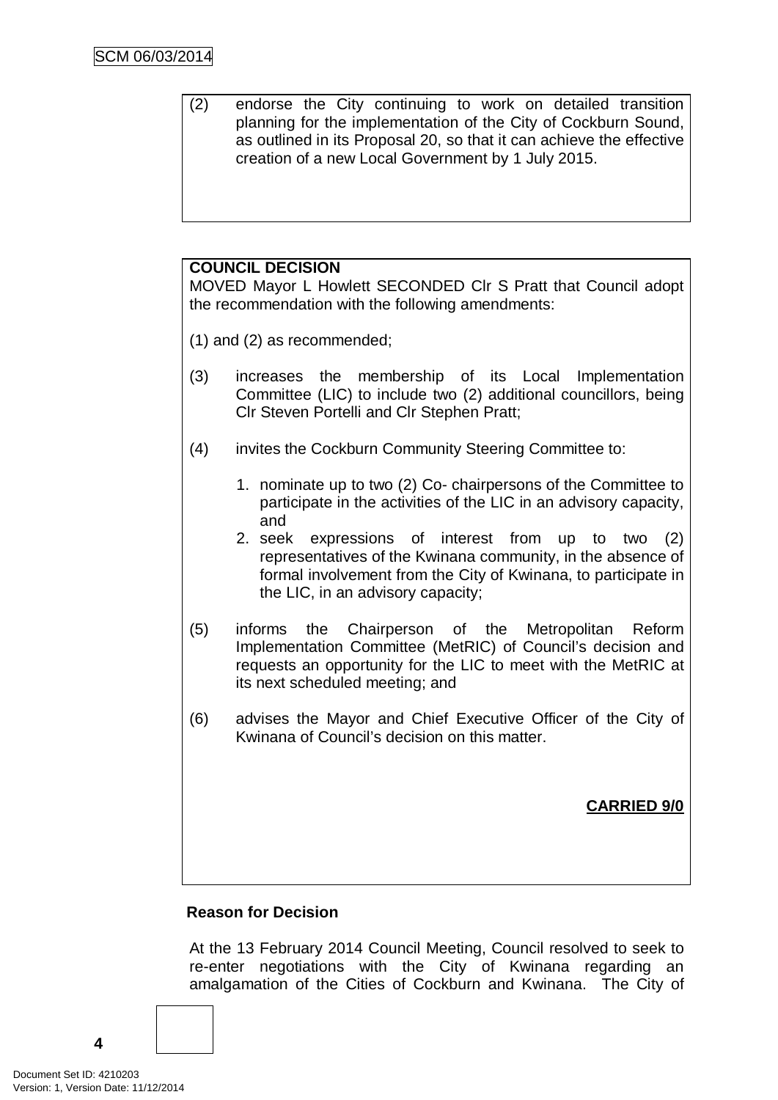(2) endorse the City continuing to work on detailed transition planning for the implementation of the City of Cockburn Sound, as outlined in its Proposal 20, so that it can achieve the effective creation of a new Local Government by 1 July 2015.

## **COUNCIL DECISION**

MOVED Mayor L Howlett SECONDED Clr S Pratt that Council adopt the recommendation with the following amendments:

- (1) and (2) as recommended;
- (3) increases the membership of its Local Implementation Committee (LIC) to include two (2) additional councillors, being Clr Steven Portelli and Clr Stephen Pratt;
- (4) invites the Cockburn Community Steering Committee to:
	- 1. nominate up to two (2) Co- chairpersons of the Committee to participate in the activities of the LIC in an advisory capacity, and
	- 2. seek expressions of interest from up to two (2) representatives of the Kwinana community, in the absence of formal involvement from the City of Kwinana, to participate in the LIC, in an advisory capacity;
- (5) informs the Chairperson of the Metropolitan Reform Implementation Committee (MetRIC) of Council's decision and requests an opportunity for the LIC to meet with the MetRIC at its next scheduled meeting; and
- (6) advises the Mayor and Chief Executive Officer of the City of Kwinana of Council's decision on this matter.

**CARRIED 9/0**

#### **Reason for Decision**

At the 13 February 2014 Council Meeting, Council resolved to seek to re-enter negotiations with the City of Kwinana regarding an amalgamation of the Cities of Cockburn and Kwinana. The City of

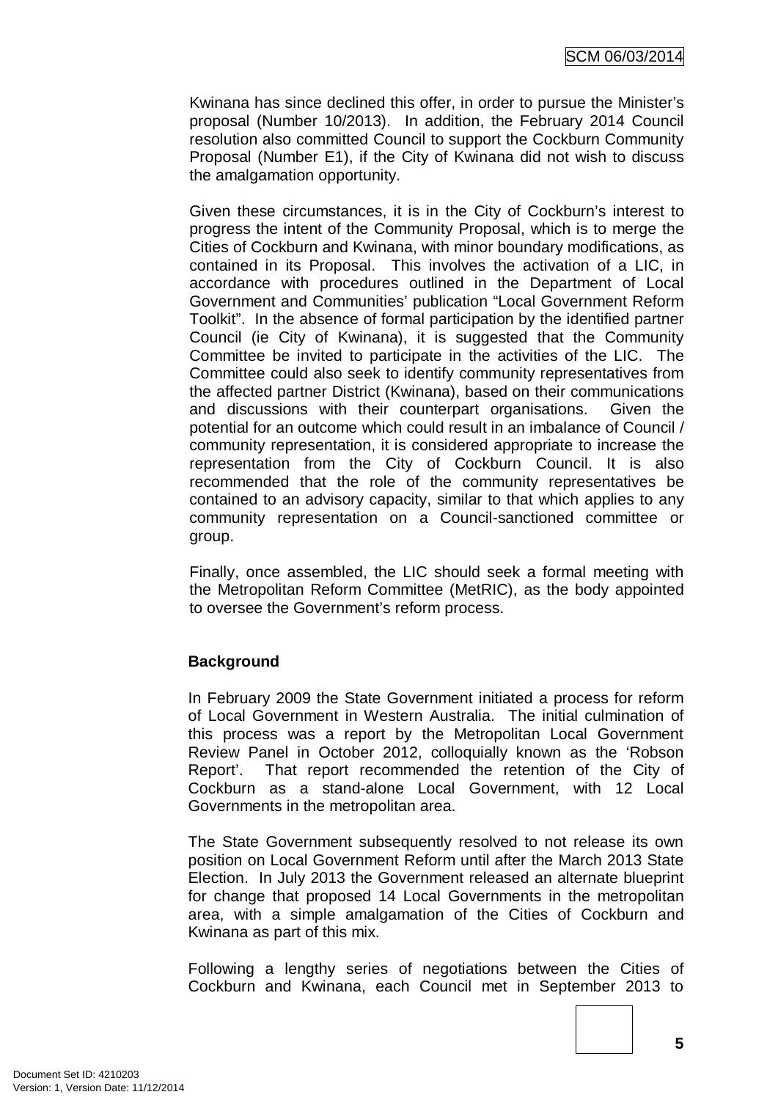Kwinana has since declined this offer, in order to pursue the Minister's proposal (Number 10/2013). In addition, the February 2014 Council resolution also committed Council to support the Cockburn Community Proposal (Number E1), if the City of Kwinana did not wish to discuss the amalgamation opportunity.

Given these circumstances, it is in the City of Cockburn's interest to progress the intent of the Community Proposal, which is to merge the Cities of Cockburn and Kwinana, with minor boundary modifications, as contained in its Proposal. This involves the activation of a LIC, in accordance with procedures outlined in the Department of Local Government and Communities' publication "Local Government Reform Toolkit". In the absence of formal participation by the identified partner Council (ie City of Kwinana), it is suggested that the Community Committee be invited to participate in the activities of the LIC. The Committee could also seek to identify community representatives from the affected partner District (Kwinana), based on their communications and discussions with their counterpart organisations. Given the potential for an outcome which could result in an imbalance of Council / community representation, it is considered appropriate to increase the representation from the City of Cockburn Council. It is also recommended that the role of the community representatives be contained to an advisory capacity, similar to that which applies to any community representation on a Council-sanctioned committee or group.

Finally, once assembled, the LIC should seek a formal meeting with the Metropolitan Reform Committee (MetRIC), as the body appointed to oversee the Government's reform process.

## **Background**

In February 2009 the State Government initiated a process for reform of Local Government in Western Australia. The initial culmination of this process was a report by the Metropolitan Local Government Review Panel in October 2012, colloquially known as the 'Robson Report'. That report recommended the retention of the City of Cockburn as a stand-alone Local Government, with 12 Local Governments in the metropolitan area.

The State Government subsequently resolved to not release its own position on Local Government Reform until after the March 2013 State Election. In July 2013 the Government released an alternate blueprint for change that proposed 14 Local Governments in the metropolitan area, with a simple amalgamation of the Cities of Cockburn and Kwinana as part of this mix.

Following a lengthy series of negotiations between the Cities of Cockburn and Kwinana, each Council met in September 2013 to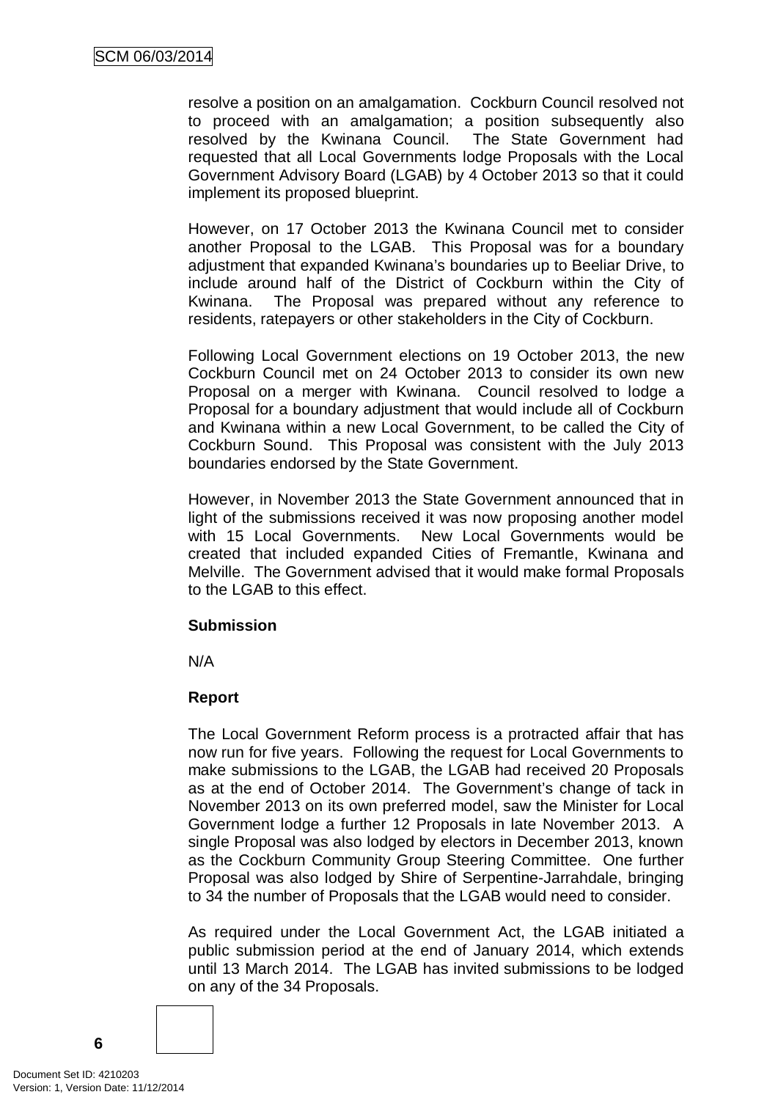resolve a position on an amalgamation. Cockburn Council resolved not to proceed with an amalgamation; a position subsequently also resolved by the Kwinana Council. The State Government had requested that all Local Governments lodge Proposals with the Local Government Advisory Board (LGAB) by 4 October 2013 so that it could implement its proposed blueprint.

However, on 17 October 2013 the Kwinana Council met to consider another Proposal to the LGAB. This Proposal was for a boundary adjustment that expanded Kwinana's boundaries up to Beeliar Drive, to include around half of the District of Cockburn within the City of Kwinana. The Proposal was prepared without any reference to residents, ratepayers or other stakeholders in the City of Cockburn.

Following Local Government elections on 19 October 2013, the new Cockburn Council met on 24 October 2013 to consider its own new Proposal on a merger with Kwinana. Council resolved to lodge a Proposal for a boundary adjustment that would include all of Cockburn and Kwinana within a new Local Government, to be called the City of Cockburn Sound. This Proposal was consistent with the July 2013 boundaries endorsed by the State Government.

However, in November 2013 the State Government announced that in light of the submissions received it was now proposing another model with 15 Local Governments. New Local Governments would be created that included expanded Cities of Fremantle, Kwinana and Melville. The Government advised that it would make formal Proposals to the LGAB to this effect.

#### **Submission**

N/A

#### **Report**

The Local Government Reform process is a protracted affair that has now run for five years. Following the request for Local Governments to make submissions to the LGAB, the LGAB had received 20 Proposals as at the end of October 2014. The Government's change of tack in November 2013 on its own preferred model, saw the Minister for Local Government lodge a further 12 Proposals in late November 2013. A single Proposal was also lodged by electors in December 2013, known as the Cockburn Community Group Steering Committee. One further Proposal was also lodged by Shire of Serpentine-Jarrahdale, bringing to 34 the number of Proposals that the LGAB would need to consider.

As required under the Local Government Act, the LGAB initiated a public submission period at the end of January 2014, which extends until 13 March 2014. The LGAB has invited submissions to be lodged on any of the 34 Proposals.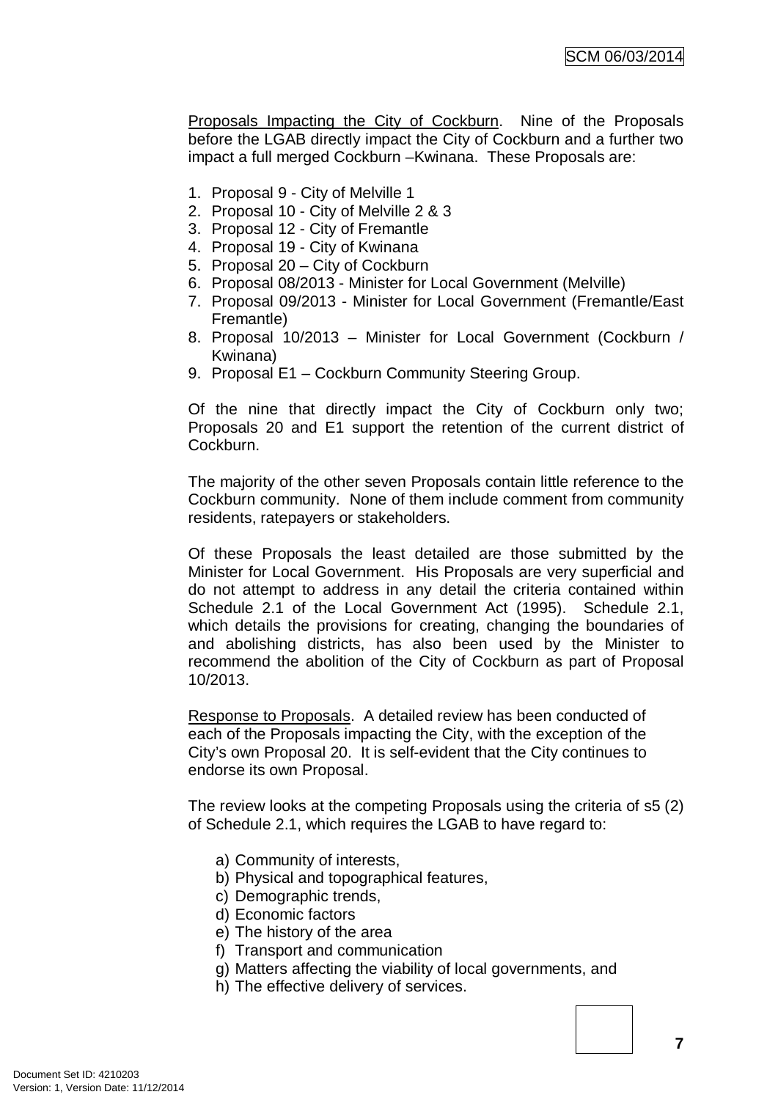Proposals Impacting the City of Cockburn. Nine of the Proposals before the LGAB directly impact the City of Cockburn and a further two impact a full merged Cockburn –Kwinana. These Proposals are:

- 1. Proposal 9 City of Melville 1
- 2. Proposal 10 City of Melville 2 & 3
- 3. Proposal 12 City of Fremantle
- 4. Proposal 19 City of Kwinana
- 5. Proposal 20 City of Cockburn
- 6. Proposal 08/2013 Minister for Local Government (Melville)
- 7. Proposal 09/2013 Minister for Local Government (Fremantle/East Fremantle)
- 8. Proposal 10/2013 Minister for Local Government (Cockburn / Kwinana)
- 9. Proposal E1 Cockburn Community Steering Group.

Of the nine that directly impact the City of Cockburn only two; Proposals 20 and E1 support the retention of the current district of Cockburn.

The majority of the other seven Proposals contain little reference to the Cockburn community. None of them include comment from community residents, ratepayers or stakeholders.

Of these Proposals the least detailed are those submitted by the Minister for Local Government. His Proposals are very superficial and do not attempt to address in any detail the criteria contained within Schedule 2.1 of the Local Government Act (1995). Schedule 2.1, which details the provisions for creating, changing the boundaries of and abolishing districts, has also been used by the Minister to recommend the abolition of the City of Cockburn as part of Proposal 10/2013.

Response to Proposals. A detailed review has been conducted of each of the Proposals impacting the City, with the exception of the City's own Proposal 20. It is self-evident that the City continues to endorse its own Proposal.

The review looks at the competing Proposals using the criteria of s5 (2) of Schedule 2.1, which requires the LGAB to have regard to:

- a) Community of interests,
- b) Physical and topographical features,
- c) Demographic trends,
- d) Economic factors
- e) The history of the area
- f) Transport and communication
- g) Matters affecting the viability of local governments, and
- h) The effective delivery of services.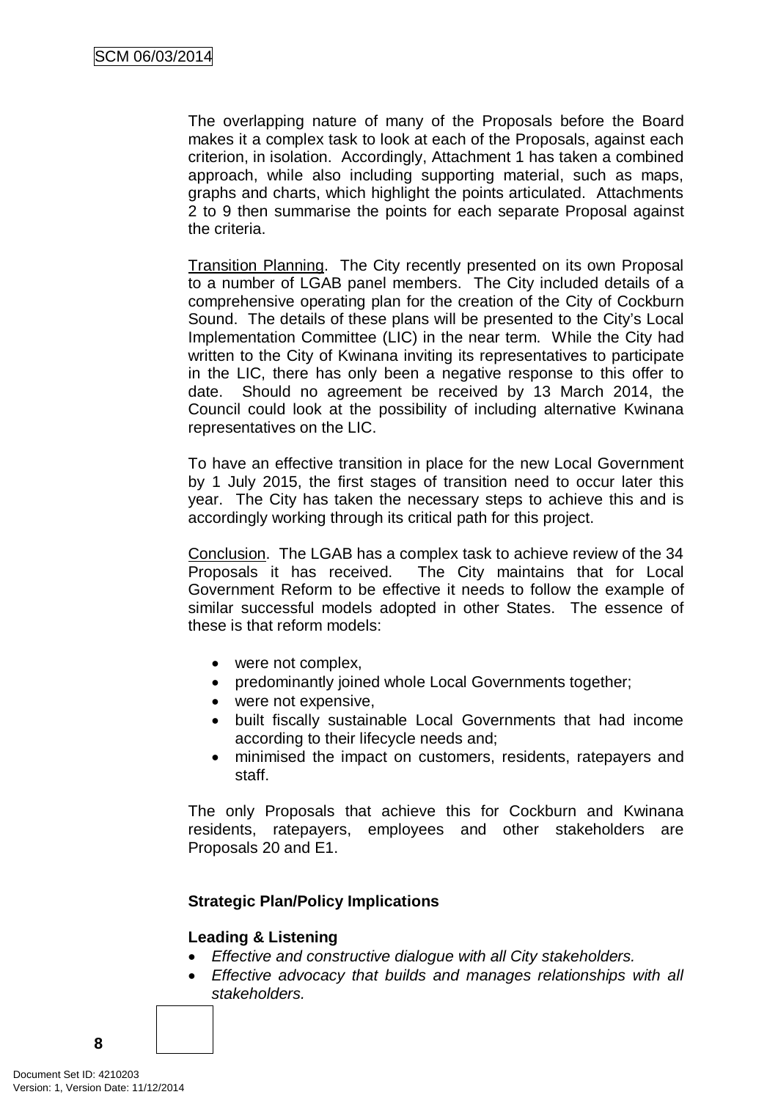The overlapping nature of many of the Proposals before the Board makes it a complex task to look at each of the Proposals, against each criterion, in isolation. Accordingly, Attachment 1 has taken a combined approach, while also including supporting material, such as maps, graphs and charts, which highlight the points articulated. Attachments 2 to 9 then summarise the points for each separate Proposal against the criteria.

Transition Planning. The City recently presented on its own Proposal to a number of LGAB panel members. The City included details of a comprehensive operating plan for the creation of the City of Cockburn Sound. The details of these plans will be presented to the City's Local Implementation Committee (LIC) in the near term. While the City had written to the City of Kwinana inviting its representatives to participate in the LIC, there has only been a negative response to this offer to date. Should no agreement be received by 13 March 2014, the Council could look at the possibility of including alternative Kwinana representatives on the LIC.

To have an effective transition in place for the new Local Government by 1 July 2015, the first stages of transition need to occur later this year. The City has taken the necessary steps to achieve this and is accordingly working through its critical path for this project.

Conclusion. The LGAB has a complex task to achieve review of the 34 Proposals it has received. The City maintains that for Local Government Reform to be effective it needs to follow the example of similar successful models adopted in other States. The essence of these is that reform models:

- were not complex,
- predominantly joined whole Local Governments together;
- were not expensive,
- built fiscally sustainable Local Governments that had income according to their lifecycle needs and;
- minimised the impact on customers, residents, ratepayers and staff.

The only Proposals that achieve this for Cockburn and Kwinana residents, ratepayers, employees and other stakeholders are Proposals 20 and E1.

## **Strategic Plan/Policy Implications**

#### **Leading & Listening**

- *Effective and constructive dialogue with all City stakeholders.*
- *Effective advocacy that builds and manages relationships with all stakeholders.*

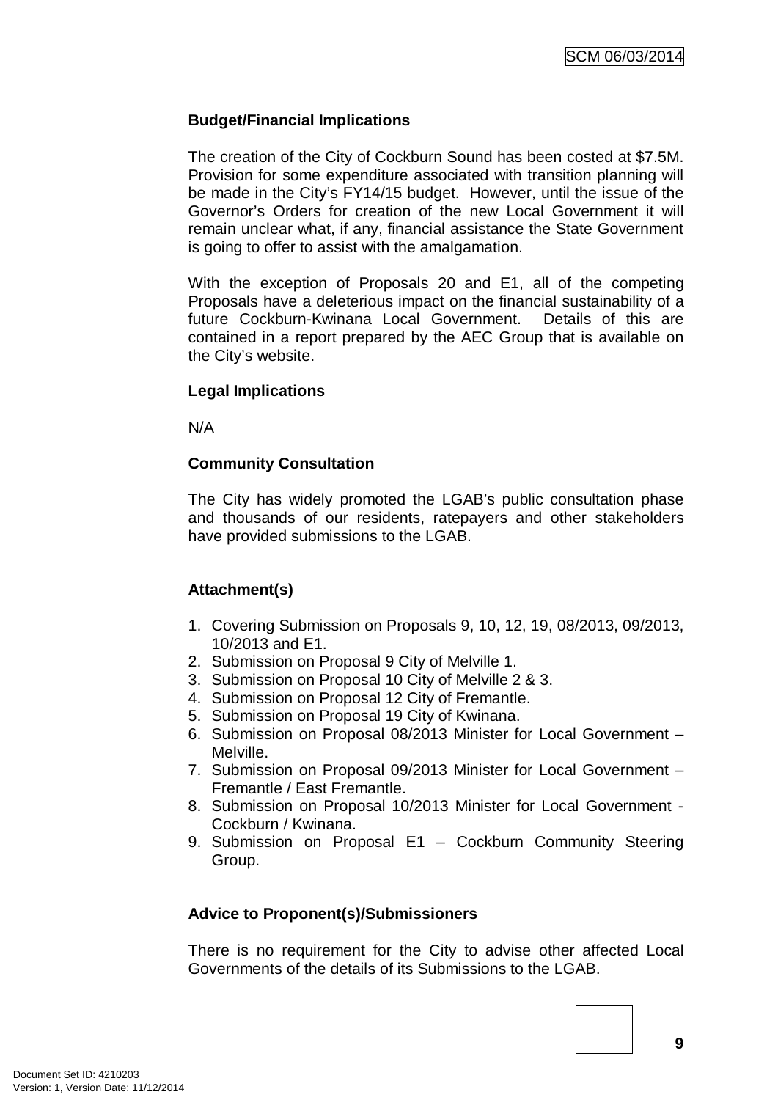#### **Budget/Financial Implications**

The creation of the City of Cockburn Sound has been costed at \$7.5M. Provision for some expenditure associated with transition planning will be made in the City's FY14/15 budget. However, until the issue of the Governor's Orders for creation of the new Local Government it will remain unclear what, if any, financial assistance the State Government is going to offer to assist with the amalgamation.

With the exception of Proposals 20 and E1, all of the competing Proposals have a deleterious impact on the financial sustainability of a future Cockburn-Kwinana Local Government. Details of this are contained in a report prepared by the AEC Group that is available on the City's website.

#### **Legal Implications**

N/A

## **Community Consultation**

The City has widely promoted the LGAB's public consultation phase and thousands of our residents, ratepayers and other stakeholders have provided submissions to the LGAB.

#### **Attachment(s)**

- 1. Covering Submission on Proposals 9, 10, 12, 19, 08/2013, 09/2013, 10/2013 and E1.
- 2. Submission on Proposal 9 City of Melville 1.
- 3. Submission on Proposal 10 City of Melville 2 & 3.
- 4. Submission on Proposal 12 City of Fremantle.
- 5. Submission on Proposal 19 City of Kwinana.
- 6. Submission on Proposal 08/2013 Minister for Local Government Melville.
- 7. Submission on Proposal 09/2013 Minister for Local Government Fremantle / East Fremantle.
- 8. Submission on Proposal 10/2013 Minister for Local Government Cockburn / Kwinana.
- 9. Submission on Proposal E1 Cockburn Community Steering Group.

## **Advice to Proponent(s)/Submissioners**

There is no requirement for the City to advise other affected Local Governments of the details of its Submissions to the LGAB.